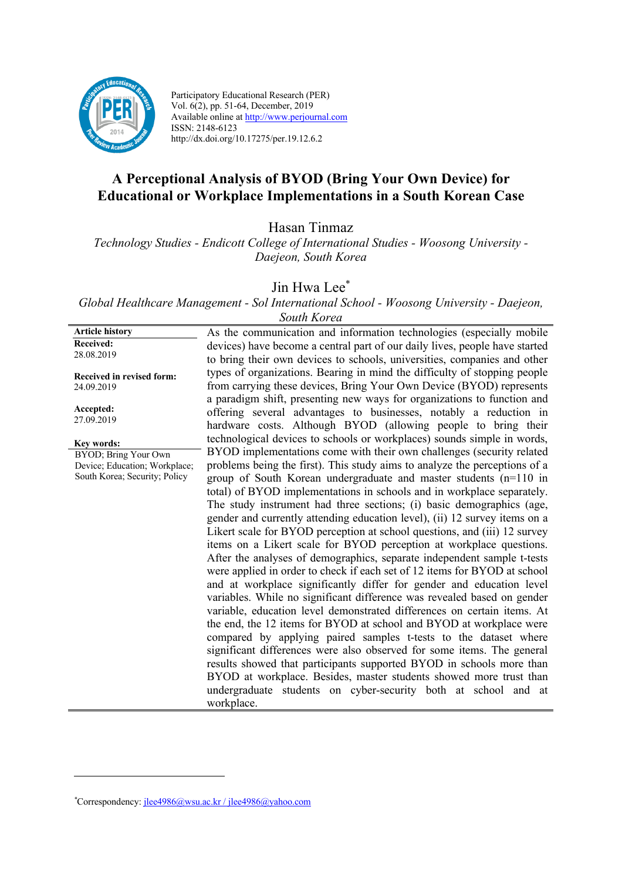

Participatory Educational Research (PER) Vol. 6(2), pp. 51-64, December, 2019 Available online at http://www.perjournal.com ISSN: 2148-6123 http://dx.doi.org/10.17275/per.19.12.6.2

# **A Perceptional Analysis of BYOD (Bring Your Own Device) for Educational or Workplace Implementations in a South Korean Case**

Hasan Tinmaz

*Technology Studies - Endicott College of International Studies - Woosong University - Daejeon, South Korea*

Jin Hwa Lee<sup>\*</sup>

*Global Healthcare Management - Sol International School - Woosong University - Daejeon,* 

**Article history Received:**  28.08.2019

**Received in revised form:**  24.09.2019

**Accepted:** 27.09.2019

**Key words:**

BYOD; Bring Your Own Device; Education; Workplace; South Korea; Security; Policy

*South Korea* As the communication and information technologies (especially mobile devices) have become a central part of our daily lives, people have started to bring their own devices to schools, universities, companies and other types of organizations. Bearing in mind the difficulty of stopping people from carrying these devices, Bring Your Own Device (BYOD) represents a paradigm shift, presenting new ways for organizations to function and offering several advantages to businesses, notably a reduction in hardware costs. Although BYOD (allowing people to bring their technological devices to schools or workplaces) sounds simple in words, BYOD implementations come with their own challenges (security related problems being the first). This study aims to analyze the perceptions of a group of South Korean undergraduate and master students (n=110 in total) of BYOD implementations in schools and in workplace separately. The study instrument had three sections; (i) basic demographics (age, gender and currently attending education level), (ii) 12 survey items on a Likert scale for BYOD perception at school questions, and (iii) 12 survey items on a Likert scale for BYOD perception at workplace questions. After the analyses of demographics, separate independent sample t-tests were applied in order to check if each set of 12 items for BYOD at school and at workplace significantly differ for gender and education level variables. While no significant difference was revealed based on gender variable, education level demonstrated differences on certain items. At the end, the 12 items for BYOD at school and BYOD at workplace were compared by applying paired samples t-tests to the dataset where significant differences were also observed for some items. The general results showed that participants supported BYOD in schools more than BYOD at workplace. Besides, master students showed more trust than undergraduate students on cyber-security both at school and at workplace.

*<sup>\*</sup>* Correspondency: jlee4986@wsu.ac.kr / jlee4986@yahoo.com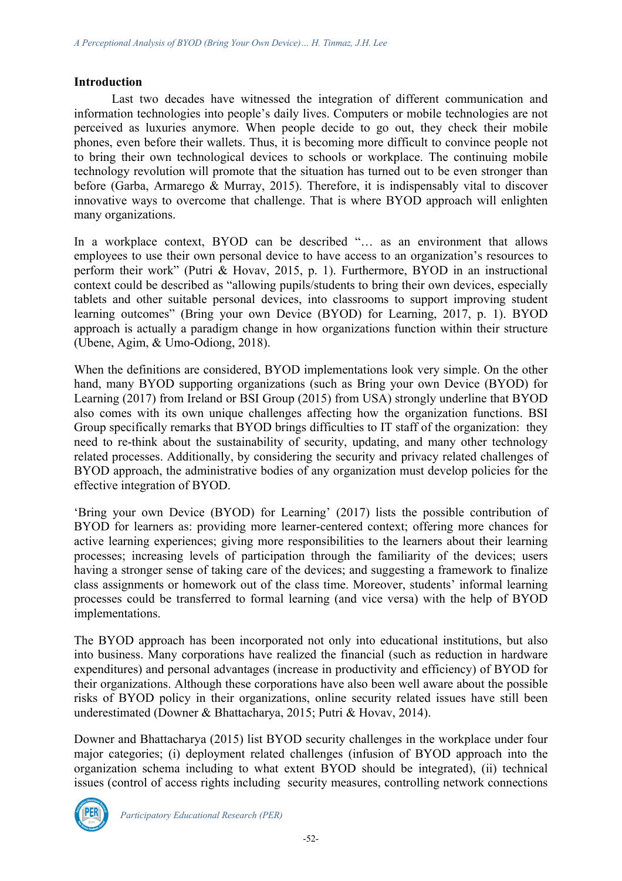#### **Introduction**

Last two decades have witnessed the integration of different communication and information technologies into people's daily lives. Computers or mobile technologies are not perceived as luxuries anymore. When people decide to go out, they check their mobile phones, even before their wallets. Thus, it is becoming more difficult to convince people not to bring their own technological devices to schools or workplace. The continuing mobile technology revolution will promote that the situation has turned out to be even stronger than before (Garba, Armarego & Murray, 2015). Therefore, it is indispensably vital to discover innovative ways to overcome that challenge. That is where BYOD approach will enlighten many organizations.

In a workplace context, BYOD can be described "... as an environment that allows employees to use their own personal device to have access to an organization's resources to perform their work" (Putri & Hovav, 2015, p. 1). Furthermore, BYOD in an instructional context could be described as "allowing pupils/students to bring their own devices, especially tablets and other suitable personal devices, into classrooms to support improving student learning outcomes" (Bring your own Device (BYOD) for Learning, 2017, p. 1). BYOD approach is actually a paradigm change in how organizations function within their structure (Ubene, Agim, & Umo-Odiong, 2018).

When the definitions are considered, BYOD implementations look very simple. On the other hand, many BYOD supporting organizations (such as Bring your own Device (BYOD) for Learning (2017) from Ireland or BSI Group (2015) from USA) strongly underline that BYOD also comes with its own unique challenges affecting how the organization functions. BSI Group specifically remarks that BYOD brings difficulties to IT staff of the organization: they need to re-think about the sustainability of security, updating, and many other technology related processes. Additionally, by considering the security and privacy related challenges of BYOD approach, the administrative bodies of any organization must develop policies for the effective integration of BYOD.

'Bring your own Device (BYOD) for Learning' (2017) lists the possible contribution of BYOD for learners as: providing more learner-centered context; offering more chances for active learning experiences; giving more responsibilities to the learners about their learning processes; increasing levels of participation through the familiarity of the devices; users having a stronger sense of taking care of the devices; and suggesting a framework to finalize class assignments or homework out of the class time. Moreover, students' informal learning processes could be transferred to formal learning (and vice versa) with the help of BYOD implementations.

The BYOD approach has been incorporated not only into educational institutions, but also into business. Many corporations have realized the financial (such as reduction in hardware expenditures) and personal advantages (increase in productivity and efficiency) of BYOD for their organizations. Although these corporations have also been well aware about the possible risks of BYOD policy in their organizations, online security related issues have still been underestimated (Downer & Bhattacharya, 2015; Putri & Hovav, 2014).

Downer and Bhattacharya (2015) list BYOD security challenges in the workplace under four major categories; (i) deployment related challenges (infusion of BYOD approach into the organization schema including to what extent BYOD should be integrated), (ii) technical issues (control of access rights including security measures, controlling network connections

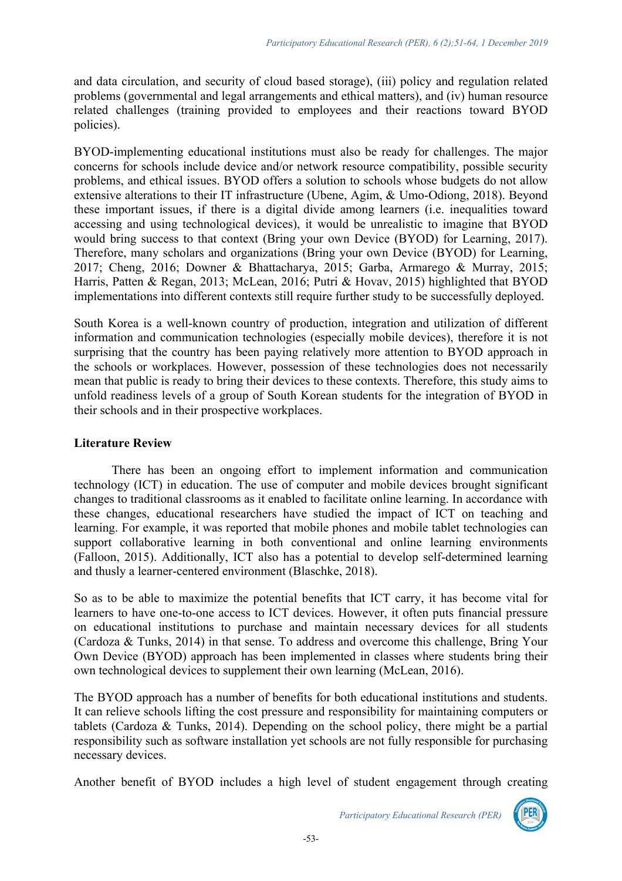and data circulation, and security of cloud based storage), (iii) policy and regulation related problems (governmental and legal arrangements and ethical matters), and (iv) human resource related challenges (training provided to employees and their reactions toward BYOD policies).

BYOD-implementing educational institutions must also be ready for challenges. The major concerns for schools include device and/or network resource compatibility, possible security problems, and ethical issues. BYOD offers a solution to schools whose budgets do not allow extensive alterations to their IT infrastructure (Ubene, Agim, & Umo-Odiong, 2018). Beyond these important issues, if there is a digital divide among learners (i.e. inequalities toward accessing and using technological devices), it would be unrealistic to imagine that BYOD would bring success to that context (Bring your own Device (BYOD) for Learning, 2017). Therefore, many scholars and organizations (Bring your own Device (BYOD) for Learning, 2017; Cheng, 2016; Downer & Bhattacharya, 2015; Garba, Armarego & Murray, 2015; Harris, Patten & Regan, 2013; McLean, 2016; Putri & Hovav, 2015) highlighted that BYOD implementations into different contexts still require further study to be successfully deployed.

South Korea is a well-known country of production, integration and utilization of different information and communication technologies (especially mobile devices), therefore it is not surprising that the country has been paying relatively more attention to BYOD approach in the schools or workplaces. However, possession of these technologies does not necessarily mean that public is ready to bring their devices to these contexts. Therefore, this study aims to unfold readiness levels of a group of South Korean students for the integration of BYOD in their schools and in their prospective workplaces.

# **Literature Review**

There has been an ongoing effort to implement information and communication technology (ICT) in education. The use of computer and mobile devices brought significant changes to traditional classrooms as it enabled to facilitate online learning. In accordance with these changes, educational researchers have studied the impact of ICT on teaching and learning. For example, it was reported that mobile phones and mobile tablet technologies can support collaborative learning in both conventional and online learning environments (Falloon, 2015). Additionally, ICT also has a potential to develop self-determined learning and thusly a learner-centered environment (Blaschke, 2018).

So as to be able to maximize the potential benefits that ICT carry, it has become vital for learners to have one-to-one access to ICT devices. However, it often puts financial pressure on educational institutions to purchase and maintain necessary devices for all students (Cardoza & Tunks, 2014) in that sense. To address and overcome this challenge, Bring Your Own Device (BYOD) approach has been implemented in classes where students bring their own technological devices to supplement their own learning (McLean, 2016).

The BYOD approach has a number of benefits for both educational institutions and students. It can relieve schools lifting the cost pressure and responsibility for maintaining computers or tablets (Cardoza & Tunks, 2014). Depending on the school policy, there might be a partial responsibility such as software installation yet schools are not fully responsible for purchasing necessary devices.

Another benefit of BYOD includes a high level of student engagement through creating



*Participatory Educational Research (PER)*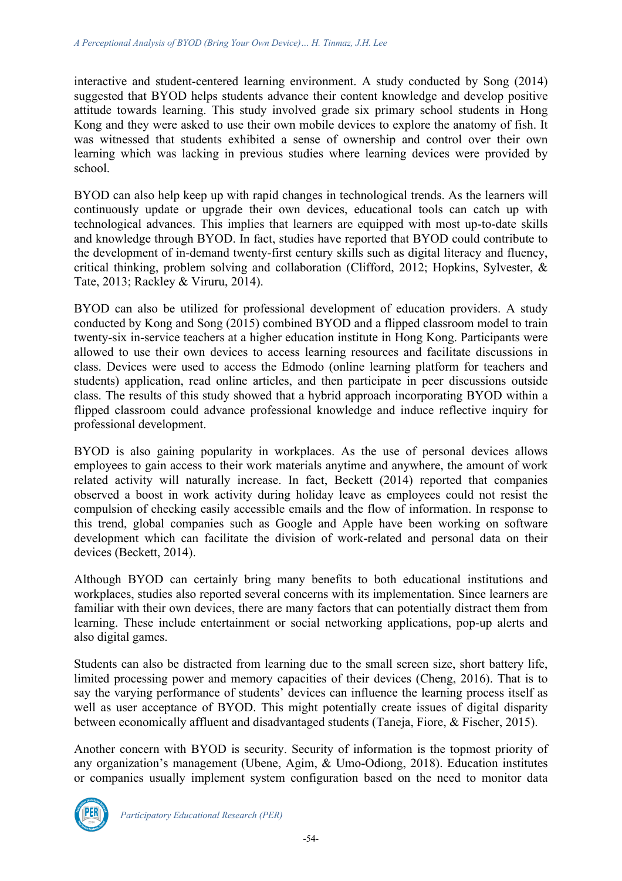interactive and student-centered learning environment. A study conducted by Song (2014) suggested that BYOD helps students advance their content knowledge and develop positive attitude towards learning. This study involved grade six primary school students in Hong Kong and they were asked to use their own mobile devices to explore the anatomy of fish. It was witnessed that students exhibited a sense of ownership and control over their own learning which was lacking in previous studies where learning devices were provided by school.

BYOD can also help keep up with rapid changes in technological trends. As the learners will continuously update or upgrade their own devices, educational tools can catch up with technological advances. This implies that learners are equipped with most up-to-date skills and knowledge through BYOD. In fact, studies have reported that BYOD could contribute to the development of in-demand twenty-first century skills such as digital literacy and fluency, critical thinking, problem solving and collaboration (Clifford, 2012; Hopkins, Sylvester, & Tate, 2013; Rackley & Viruru, 2014).

BYOD can also be utilized for professional development of education providers. A study conducted by Kong and Song (2015) combined BYOD and a flipped classroom model to train twenty-six in-service teachers at a higher education institute in Hong Kong. Participants were allowed to use their own devices to access learning resources and facilitate discussions in class. Devices were used to access the Edmodo (online learning platform for teachers and students) application, read online articles, and then participate in peer discussions outside class. The results of this study showed that a hybrid approach incorporating BYOD within a flipped classroom could advance professional knowledge and induce reflective inquiry for professional development.

BYOD is also gaining popularity in workplaces. As the use of personal devices allows employees to gain access to their work materials anytime and anywhere, the amount of work related activity will naturally increase. In fact, Beckett (2014) reported that companies observed a boost in work activity during holiday leave as employees could not resist the compulsion of checking easily accessible emails and the flow of information. In response to this trend, global companies such as Google and Apple have been working on software development which can facilitate the division of work-related and personal data on their devices (Beckett, 2014).

Although BYOD can certainly bring many benefits to both educational institutions and workplaces, studies also reported several concerns with its implementation. Since learners are familiar with their own devices, there are many factors that can potentially distract them from learning. These include entertainment or social networking applications, pop-up alerts and also digital games.

Students can also be distracted from learning due to the small screen size, short battery life, limited processing power and memory capacities of their devices (Cheng, 2016). That is to say the varying performance of students' devices can influence the learning process itself as well as user acceptance of BYOD. This might potentially create issues of digital disparity between economically affluent and disadvantaged students (Taneja, Fiore, & Fischer, 2015).

Another concern with BYOD is security. Security of information is the topmost priority of any organization's management (Ubene, Agim, & Umo-Odiong, 2018). Education institutes or companies usually implement system configuration based on the need to monitor data

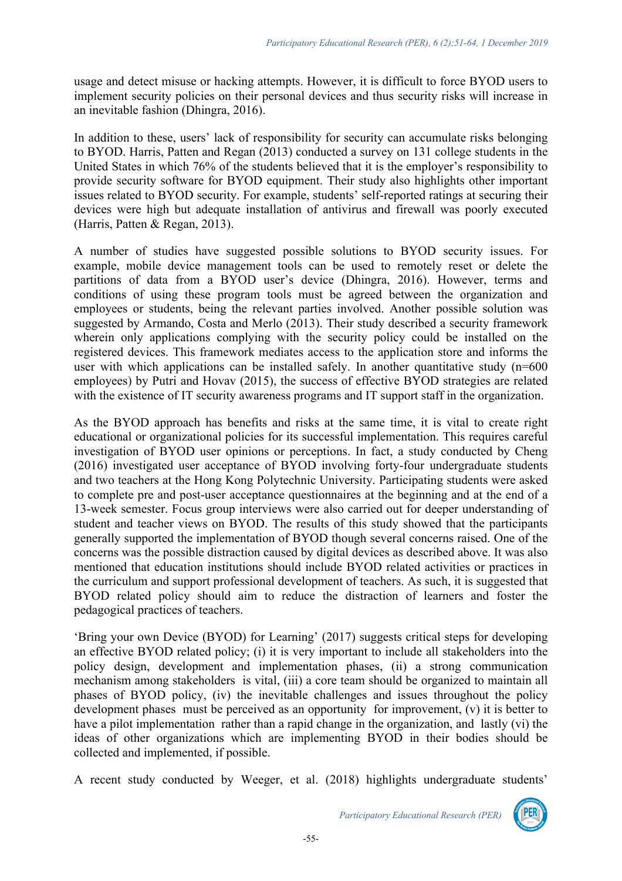usage and detect misuse or hacking attempts. However, it is difficult to force BYOD users to implement security policies on their personal devices and thus security risks will increase in an inevitable fashion (Dhingra, 2016).

In addition to these, users' lack of responsibility for security can accumulate risks belonging to BYOD. Harris, Patten and Regan (2013) conducted a survey on 131 college students in the United States in which 76% of the students believed that it is the employer's responsibility to provide security software for BYOD equipment. Their study also highlights other important issues related to BYOD security. For example, students' self-reported ratings at securing their devices were high but adequate installation of antivirus and firewall was poorly executed (Harris, Patten & Regan, 2013).

A number of studies have suggested possible solutions to BYOD security issues. For example, mobile device management tools can be used to remotely reset or delete the partitions of data from a BYOD user's device (Dhingra, 2016). However, terms and conditions of using these program tools must be agreed between the organization and employees or students, being the relevant parties involved. Another possible solution was suggested by Armando, Costa and Merlo (2013). Their study described a security framework wherein only applications complying with the security policy could be installed on the registered devices. This framework mediates access to the application store and informs the user with which applications can be installed safely. In another quantitative study  $(n=600)$ employees) by Putri and Hovav (2015), the success of effective BYOD strategies are related with the existence of IT security awareness programs and IT support staff in the organization.

As the BYOD approach has benefits and risks at the same time, it is vital to create right educational or organizational policies for its successful implementation. This requires careful investigation of BYOD user opinions or perceptions. In fact, a study conducted by Cheng (2016) investigated user acceptance of BYOD involving forty-four undergraduate students and two teachers at the Hong Kong Polytechnic University. Participating students were asked to complete pre and post-user acceptance questionnaires at the beginning and at the end of a 13-week semester. Focus group interviews were also carried out for deeper understanding of student and teacher views on BYOD. The results of this study showed that the participants generally supported the implementation of BYOD though several concerns raised. One of the concerns was the possible distraction caused by digital devices as described above. It was also mentioned that education institutions should include BYOD related activities or practices in the curriculum and support professional development of teachers. As such, it is suggested that BYOD related policy should aim to reduce the distraction of learners and foster the pedagogical practices of teachers.

'Bring your own Device (BYOD) for Learning' (2017) suggests critical steps for developing an effective BYOD related policy; (i) it is very important to include all stakeholders into the policy design, development and implementation phases, (ii) a strong communication mechanism among stakeholders is vital, (iii) a core team should be organized to maintain all phases of BYOD policy, (iv) the inevitable challenges and issues throughout the policy development phases must be perceived as an opportunity for improvement, (v) it is better to have a pilot implementation rather than a rapid change in the organization, and lastly (vi) the ideas of other organizations which are implementing BYOD in their bodies should be collected and implemented, if possible.

A recent study conducted by Weeger, et al. (2018) highlights undergraduate students'

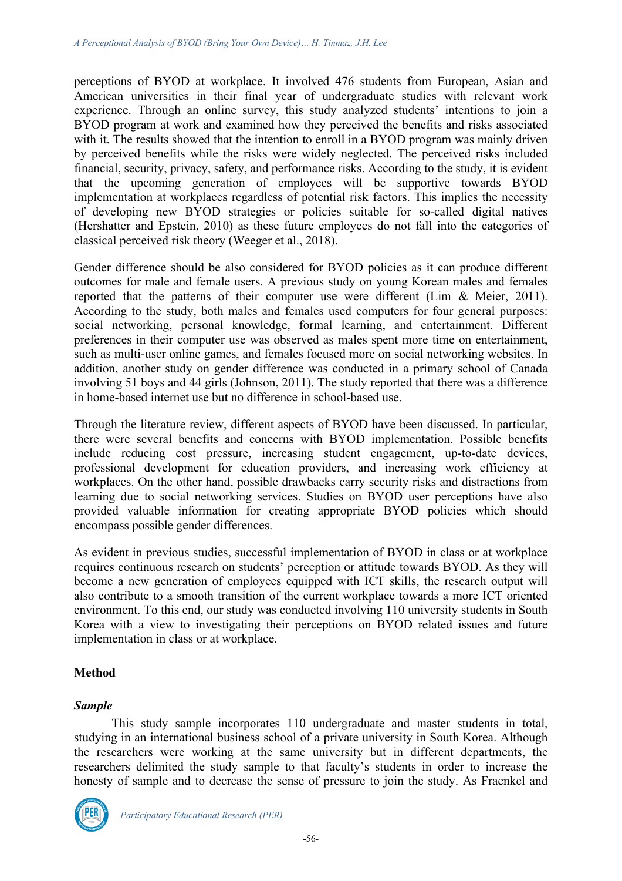perceptions of BYOD at workplace. It involved 476 students from European, Asian and American universities in their final year of undergraduate studies with relevant work experience. Through an online survey, this study analyzed students' intentions to join a BYOD program at work and examined how they perceived the benefits and risks associated with it. The results showed that the intention to enroll in a BYOD program was mainly driven by perceived benefits while the risks were widely neglected. The perceived risks included financial, security, privacy, safety, and performance risks. According to the study, it is evident that the upcoming generation of employees will be supportive towards BYOD implementation at workplaces regardless of potential risk factors. This implies the necessity of developing new BYOD strategies or policies suitable for so-called digital natives (Hershatter and Epstein, 2010) as these future employees do not fall into the categories of classical perceived risk theory (Weeger et al., 2018).

Gender difference should be also considered for BYOD policies as it can produce different outcomes for male and female users. A previous study on young Korean males and females reported that the patterns of their computer use were different (Lim & Meier, 2011). According to the study, both males and females used computers for four general purposes: social networking, personal knowledge, formal learning, and entertainment. Different preferences in their computer use was observed as males spent more time on entertainment, such as multi-user online games, and females focused more on social networking websites. In addition, another study on gender difference was conducted in a primary school of Canada involving 51 boys and 44 girls (Johnson, 2011). The study reported that there was a difference in home-based internet use but no difference in school-based use.

Through the literature review, different aspects of BYOD have been discussed. In particular, there were several benefits and concerns with BYOD implementation. Possible benefits include reducing cost pressure, increasing student engagement, up-to-date devices, professional development for education providers, and increasing work efficiency at workplaces. On the other hand, possible drawbacks carry security risks and distractions from learning due to social networking services. Studies on BYOD user perceptions have also provided valuable information for creating appropriate BYOD policies which should encompass possible gender differences.

As evident in previous studies, successful implementation of BYOD in class or at workplace requires continuous research on students' perception or attitude towards BYOD. As they will become a new generation of employees equipped with ICT skills, the research output will also contribute to a smooth transition of the current workplace towards a more ICT oriented environment. To this end, our study was conducted involving 110 university students in South Korea with a view to investigating their perceptions on BYOD related issues and future implementation in class or at workplace.

# **Method**

#### *Sample*

This study sample incorporates 110 undergraduate and master students in total, studying in an international business school of a private university in South Korea. Although the researchers were working at the same university but in different departments, the researchers delimited the study sample to that faculty's students in order to increase the honesty of sample and to decrease the sense of pressure to join the study. As Fraenkel and

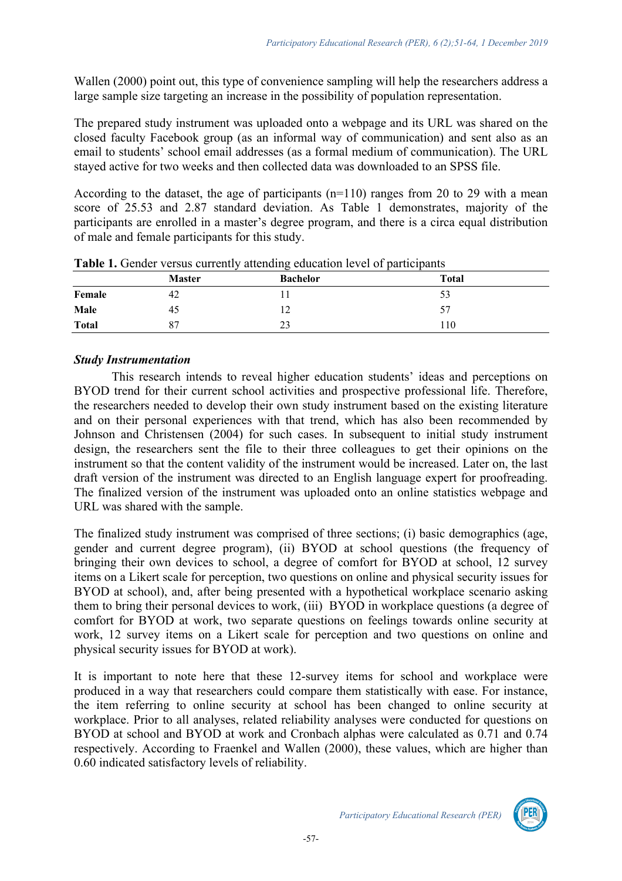Wallen (2000) point out, this type of convenience sampling will help the researchers address a large sample size targeting an increase in the possibility of population representation.

The prepared study instrument was uploaded onto a webpage and its URL was shared on the closed faculty Facebook group (as an informal way of communication) and sent also as an email to students' school email addresses (as a formal medium of communication). The URL stayed active for two weeks and then collected data was downloaded to an SPSS file.

According to the dataset, the age of participants  $(n=110)$  ranges from 20 to 29 with a mean score of 25.53 and 2.87 standard deviation. As Table 1 demonstrates, majority of the participants are enrolled in a master's degree program, and there is a circa equal distribution of male and female participants for this study.

|              | . .           | _               | $\sim$       |  |
|--------------|---------------|-----------------|--------------|--|
|              | <b>Master</b> | <b>Bachelor</b> | <b>Total</b> |  |
| Female       | 42            |                 | 53           |  |
| Male         | 45            | ⊥∠              | 57           |  |
| <b>Total</b> | 87            | 23              | 110          |  |
|              |               |                 |              |  |

**Table 1.** Gender versus currently attending education level of participants

# *Study Instrumentation*

This research intends to reveal higher education students' ideas and perceptions on BYOD trend for their current school activities and prospective professional life. Therefore, the researchers needed to develop their own study instrument based on the existing literature and on their personal experiences with that trend, which has also been recommended by Johnson and Christensen (2004) for such cases. In subsequent to initial study instrument design, the researchers sent the file to their three colleagues to get their opinions on the instrument so that the content validity of the instrument would be increased. Later on, the last draft version of the instrument was directed to an English language expert for proofreading. The finalized version of the instrument was uploaded onto an online statistics webpage and URL was shared with the sample.

The finalized study instrument was comprised of three sections; (i) basic demographics (age, gender and current degree program), (ii) BYOD at school questions (the frequency of bringing their own devices to school, a degree of comfort for BYOD at school, 12 survey items on a Likert scale for perception, two questions on online and physical security issues for BYOD at school), and, after being presented with a hypothetical workplace scenario asking them to bring their personal devices to work, (iii) BYOD in workplace questions (a degree of comfort for BYOD at work, two separate questions on feelings towards online security at work, 12 survey items on a Likert scale for perception and two questions on online and physical security issues for BYOD at work).

It is important to note here that these 12-survey items for school and workplace were produced in a way that researchers could compare them statistically with ease. For instance, the item referring to online security at school has been changed to online security at workplace. Prior to all analyses, related reliability analyses were conducted for questions on BYOD at school and BYOD at work and Cronbach alphas were calculated as 0.71 and 0.74 respectively. According to Fraenkel and Wallen (2000), these values, which are higher than 0.60 indicated satisfactory levels of reliability.

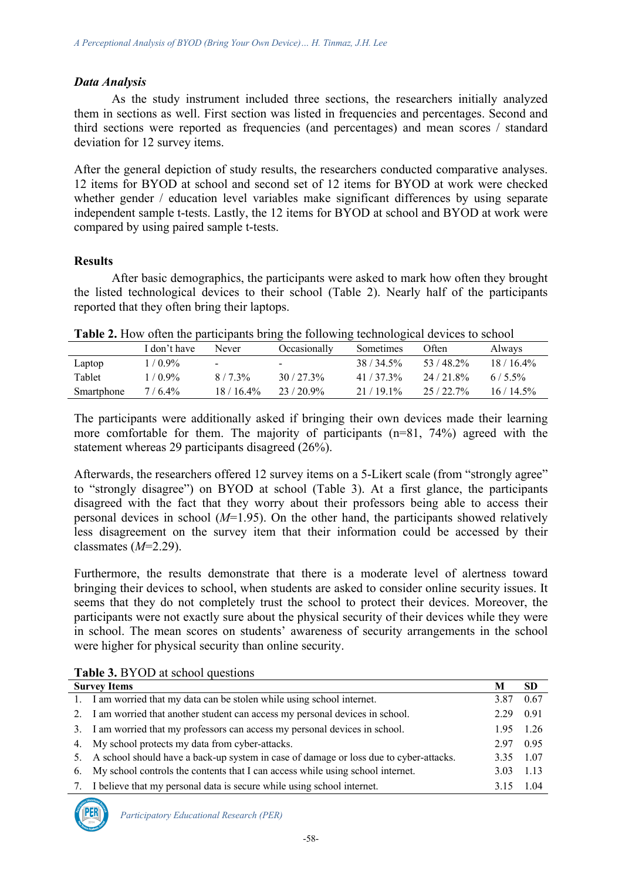#### *Data Analysis*

As the study instrument included three sections, the researchers initially analyzed them in sections as well. First section was listed in frequencies and percentages. Second and third sections were reported as frequencies (and percentages) and mean scores / standard deviation for 12 survey items.

After the general depiction of study results, the researchers conducted comparative analyses. 12 items for BYOD at school and second set of 12 items for BYOD at work were checked whether gender / education level variables make significant differences by using separate independent sample t-tests. Lastly, the 12 items for BYOD at school and BYOD at work were compared by using paired sample t-tests.

#### **Results**

After basic demographics, the participants were asked to mark how often they brought the listed technological devices to their school (Table 2). Nearly half of the participants reported that they often bring their laptops.

| <b>Table 2.</b> How often the participants bring the following technological devices to school |  |
|------------------------------------------------------------------------------------------------|--|
|------------------------------------------------------------------------------------------------|--|

|            | I don't have | Never          | Occasionally | Sometimes  | Often    | Always      |
|------------|--------------|----------------|--------------|------------|----------|-------------|
| Laptop     | $1/0.9\%$    | $\blacksquare$ |              | 38/34.5%   | 53/48.2% | $18/16.4\%$ |
| Tablet     | $1/0.9\%$    | $8/7.3\%$      | $30/27.3\%$  | $41/373\%$ | 24/21.8% | $6/55\%$    |
| Smartphone | $7/6.4\%$    | $18/16.4\%$    | 23/20.9%     | 21/19.1%   | 25/22.7% | $16/14.5\%$ |

The participants were additionally asked if bringing their own devices made their learning more comfortable for them. The majority of participants (n=81, 74%) agreed with the statement whereas 29 participants disagreed (26%).

Afterwards, the researchers offered 12 survey items on a 5-Likert scale (from "strongly agree" to "strongly disagree") on BYOD at school (Table 3). At a first glance, the participants disagreed with the fact that they worry about their professors being able to access their personal devices in school (*M*=1.95). On the other hand, the participants showed relatively less disagreement on the survey item that their information could be accessed by their classmates (*M*=2.29).

Furthermore, the results demonstrate that there is a moderate level of alertness toward bringing their devices to school, when students are asked to consider online security issues. It seems that they do not completely trust the school to protect their devices. Moreover, the participants were not exactly sure about the physical security of their devices while they were in school. The mean scores on students' awareness of security arrangements in the school were higher for physical security than online security.

| <b>Table 3.</b> D I OD at SCHOOL questions |                                                                                          |           |           |  |  |
|--------------------------------------------|------------------------------------------------------------------------------------------|-----------|-----------|--|--|
| <b>Survey Items</b>                        |                                                                                          |           | <b>SD</b> |  |  |
|                                            | 1. I am worried that my data can be stolen while using school internet.                  | 3.87      | 0.67      |  |  |
|                                            | 2. I am worried that another student can access my personal devices in school.           | 2.29      | 0.91      |  |  |
|                                            | 3. I am worried that my professors can access my personal devices in school.             |           | 1.95 1.26 |  |  |
|                                            | 4. My school protects my data from cyber-attacks.                                        | 2.97      | 0.95      |  |  |
|                                            | 5. A school should have a back-up system in case of damage or loss due to cyber-attacks. | 3.35 1.07 |           |  |  |
|                                            | 6. My school controls the contents that I can access while using school internet.        | 3.03 1.13 |           |  |  |
|                                            | I believe that my personal data is secure while using school internet.                   | 3.15      | 1.04      |  |  |

# **Table 3.** BYOD at school questions

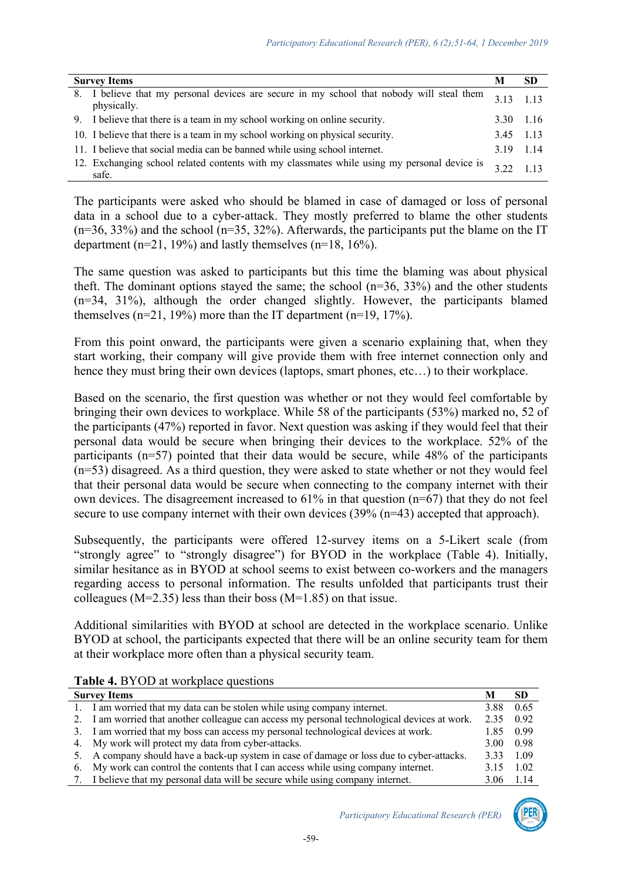| <b>Survey Items</b> |                                                                                                          |                 | <b>SD</b> |
|---------------------|----------------------------------------------------------------------------------------------------------|-----------------|-----------|
|                     | 8. I believe that my personal devices are secure in my school that nobody will steal them<br>physically. | 313             | 113       |
|                     | 9. I believe that there is a team in my school working on online security.                               | 3.30 1.16       |           |
|                     | 10. I believe that there is a team in my school working on physical security.                            | 3.45 1.13       |           |
|                     | 11. I believe that social media can be banned while using school internet.                               | 3.19 1.14       |           |
|                     | 12. Exchanging school related contents with my classmates while using my personal device is<br>safe.     | $322 \quad 113$ |           |

The participants were asked who should be blamed in case of damaged or loss of personal data in a school due to a cyber-attack. They mostly preferred to blame the other students  $(n=36, 33%)$  and the school  $(n=35, 32%)$ . Afterwards, the participants put the blame on the IT department ( $n=21$ , 19%) and lastly themselves ( $n=18$ , 16%).

The same question was asked to participants but this time the blaming was about physical theft. The dominant options stayed the same; the school  $(n=36, 33%)$  and the other students (n=34, 31%), although the order changed slightly. However, the participants blamed themselves  $(n=21, 19\%)$  more than the IT department  $(n=19, 17\%)$ .

From this point onward, the participants were given a scenario explaining that, when they start working, their company will give provide them with free internet connection only and hence they must bring their own devices (laptops, smart phones, etc...) to their workplace.

Based on the scenario, the first question was whether or not they would feel comfortable by bringing their own devices to workplace. While 58 of the participants (53%) marked no, 52 of the participants (47%) reported in favor. Next question was asking if they would feel that their personal data would be secure when bringing their devices to the workplace. 52% of the participants (n=57) pointed that their data would be secure, while 48% of the participants (n=53) disagreed. As a third question, they were asked to state whether or not they would feel that their personal data would be secure when connecting to the company internet with their own devices. The disagreement increased to 61% in that question (n=67) that they do not feel secure to use company internet with their own devices (39% (n=43) accepted that approach).

Subsequently, the participants were offered 12-survey items on a 5-Likert scale (from "strongly agree" to "strongly disagree") for BYOD in the workplace (Table 4). Initially, similar hesitance as in BYOD at school seems to exist between co-workers and the managers regarding access to personal information. The results unfolded that participants trust their colleagues ( $M=2.35$ ) less than their boss ( $M=1.85$ ) on that issue.

Additional similarities with BYOD at school are detected in the workplace scenario. Unlike BYOD at school, the participants expected that there will be an online security team for them at their workplace more often than a physical security team.

| <b>Survey Items</b> |                                                                                              |      | SD          |
|---------------------|----------------------------------------------------------------------------------------------|------|-------------|
|                     | 1. I am worried that my data can be stolen while using company internet.                     | 3.88 | 0.65        |
|                     | 2. I am worried that another colleague can access my personal technological devices at work. | 2.35 | 0.92        |
|                     | 3. I am worried that my boss can access my personal technological devices at work.           | 1.85 | 0.99        |
|                     | 4. My work will protect my data from cyber-attacks.                                          | 3.00 | 0.98        |
|                     | 5. A company should have a back-up system in case of damage or loss due to cyber-attacks.    | 3.33 | -1.09       |
|                     | 6. My work can control the contents that I can access while using company internet.          | 3.15 | 1.02        |
|                     | 7. I believe that my personal data will be secure while using company internet.              |      | $3.06$ 1.14 |

**Table 4. BYOD** at workplace questions

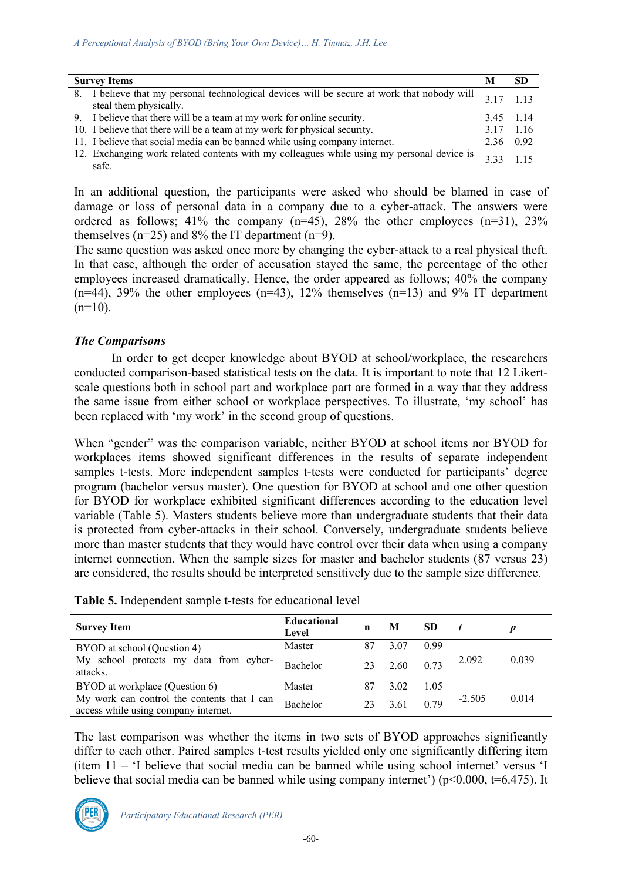| <b>Survey Items</b>                                                                                                   |           |           |
|-----------------------------------------------------------------------------------------------------------------------|-----------|-----------|
| 8. I believe that my personal technological devices will be secure at work that nobody will<br>steal them physically. | 3 1 7     | 113       |
| 9. I believe that there will be a team at my work for online security.                                                | 3.45 1.14 |           |
| 10. I believe that there will be a team at my work for physical security.                                             |           | 3.17 1.16 |
| 11. I believe that social media can be banned while using company internet.                                           | 2.36 0.92 |           |
| 12. Exchanging work related contents with my colleagues while using my personal device is<br>safe.                    |           | 115       |

In an additional question, the participants were asked who should be blamed in case of damage or loss of personal data in a company due to a cyber-attack. The answers were ordered as follows;  $41\%$  the company (n=45),  $28\%$  the other employees (n=31),  $23\%$ themselves  $(n=25)$  and 8% the IT department  $(n=9)$ .

The same question was asked once more by changing the cyber-attack to a real physical theft. In that case, although the order of accusation stayed the same, the percentage of the other employees increased dramatically. Hence, the order appeared as follows; 40% the company  $(n=44)$ , 39% the other employees  $(n=43)$ , 12% themselves  $(n=13)$  and 9% IT department  $(n=10)$ .

#### *The Comparisons*

In order to get deeper knowledge about BYOD at school/workplace, the researchers conducted comparison-based statistical tests on the data. It is important to note that 12 Likertscale questions both in school part and workplace part are formed in a way that they address the same issue from either school or workplace perspectives. To illustrate, 'my school' has been replaced with 'my work' in the second group of questions.

When "gender" was the comparison variable, neither BYOD at school items nor BYOD for workplaces items showed significant differences in the results of separate independent samples t-tests. More independent samples t-tests were conducted for participants' degree program (bachelor versus master). One question for BYOD at school and one other question for BYOD for workplace exhibited significant differences according to the education level variable (Table 5). Masters students believe more than undergraduate students that their data is protected from cyber-attacks in their school. Conversely, undergraduate students believe more than master students that they would have control over their data when using a company internet connection. When the sample sizes for master and bachelor students (87 versus 23) are considered, the results should be interpreted sensitively due to the sample size difference.

| <b>Table 5.</b> Independent sample t-tests for educational level |
|------------------------------------------------------------------|
|------------------------------------------------------------------|

| <b>Survey Item</b>                                                                  | <b>Educational</b><br>Level | n  | М    | <b>SD</b> |          |       |
|-------------------------------------------------------------------------------------|-----------------------------|----|------|-----------|----------|-------|
| BYOD at school (Question 4)                                                         | Master                      | 87 | 3.07 | 0.99      |          |       |
| My school protects my data from cyber-<br>attacks.                                  | <b>Bachelor</b>             | 23 | 2.60 | 0.73      | 2.092    | 0.039 |
| BYOD at workplace (Question 6)                                                      | Master                      | 87 | 3.02 | 1.05      |          |       |
| My work can control the contents that I can<br>access while using company internet. | <b>Bachelor</b>             | 23 | 3.61 | 0.79      | $-2.505$ | 0.014 |

The last comparison was whether the items in two sets of BYOD approaches significantly differ to each other. Paired samples t-test results yielded only one significantly differing item (item 11 – 'I believe that social media can be banned while using school internet' versus 'I believe that social media can be banned while using company internet') ( $p<0.000$ ,  $t=6.475$ ). It

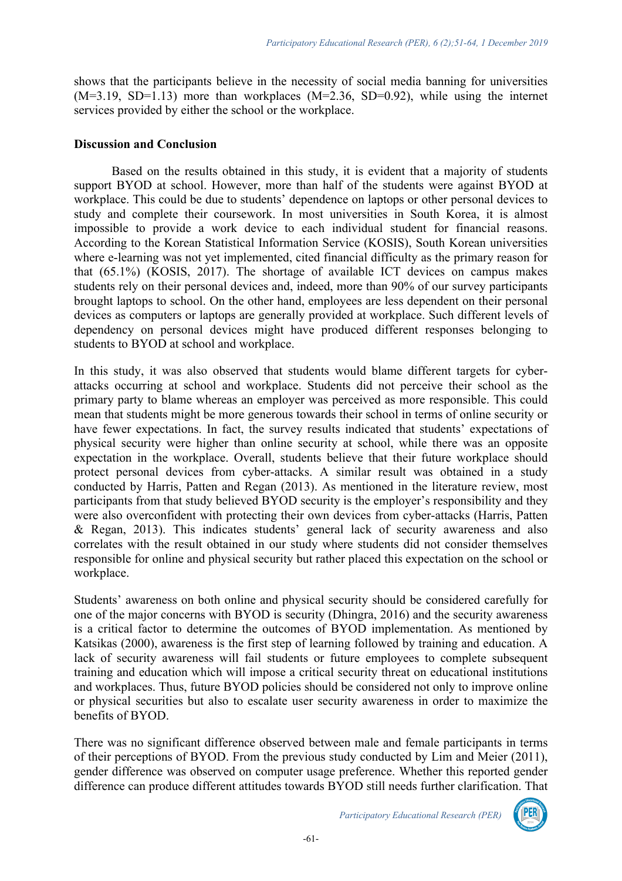shows that the participants believe in the necessity of social media banning for universities  $(M=3.19, SD=1.13)$  more than workplaces  $(M=2.36, SD=0.92)$ , while using the internet services provided by either the school or the workplace.

#### **Discussion and Conclusion**

Based on the results obtained in this study, it is evident that a majority of students support BYOD at school. However, more than half of the students were against BYOD at workplace. This could be due to students' dependence on laptops or other personal devices to study and complete their coursework. In most universities in South Korea, it is almost impossible to provide a work device to each individual student for financial reasons. According to the Korean Statistical Information Service (KOSIS), South Korean universities where e-learning was not yet implemented, cited financial difficulty as the primary reason for that (65.1%) (KOSIS, 2017). The shortage of available ICT devices on campus makes students rely on their personal devices and, indeed, more than 90% of our survey participants brought laptops to school. On the other hand, employees are less dependent on their personal devices as computers or laptops are generally provided at workplace. Such different levels of dependency on personal devices might have produced different responses belonging to students to BYOD at school and workplace.

In this study, it was also observed that students would blame different targets for cyberattacks occurring at school and workplace. Students did not perceive their school as the primary party to blame whereas an employer was perceived as more responsible. This could mean that students might be more generous towards their school in terms of online security or have fewer expectations. In fact, the survey results indicated that students' expectations of physical security were higher than online security at school, while there was an opposite expectation in the workplace. Overall, students believe that their future workplace should protect personal devices from cyber-attacks. A similar result was obtained in a study conducted by Harris, Patten and Regan (2013). As mentioned in the literature review, most participants from that study believed BYOD security is the employer's responsibility and they were also overconfident with protecting their own devices from cyber-attacks (Harris, Patten & Regan, 2013). This indicates students' general lack of security awareness and also correlates with the result obtained in our study where students did not consider themselves responsible for online and physical security but rather placed this expectation on the school or workplace.

Students' awareness on both online and physical security should be considered carefully for one of the major concerns with BYOD is security (Dhingra, 2016) and the security awareness is a critical factor to determine the outcomes of BYOD implementation. As mentioned by Katsikas (2000), awareness is the first step of learning followed by training and education. A lack of security awareness will fail students or future employees to complete subsequent training and education which will impose a critical security threat on educational institutions and workplaces. Thus, future BYOD policies should be considered not only to improve online or physical securities but also to escalate user security awareness in order to maximize the benefits of BYOD.

There was no significant difference observed between male and female participants in terms of their perceptions of BYOD. From the previous study conducted by Lim and Meier (2011), gender difference was observed on computer usage preference. Whether this reported gender difference can produce different attitudes towards BYOD still needs further clarification. That

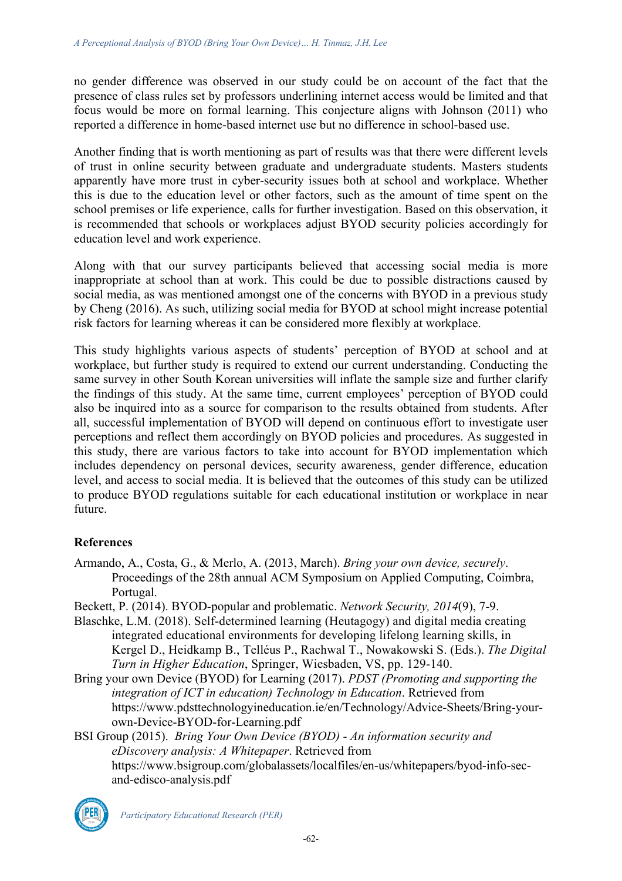no gender difference was observed in our study could be on account of the fact that the presence of class rules set by professors underlining internet access would be limited and that focus would be more on formal learning. This conjecture aligns with Johnson (2011) who reported a difference in home-based internet use but no difference in school-based use.

Another finding that is worth mentioning as part of results was that there were different levels of trust in online security between graduate and undergraduate students. Masters students apparently have more trust in cyber-security issues both at school and workplace. Whether this is due to the education level or other factors, such as the amount of time spent on the school premises or life experience, calls for further investigation. Based on this observation, it is recommended that schools or workplaces adjust BYOD security policies accordingly for education level and work experience.

Along with that our survey participants believed that accessing social media is more inappropriate at school than at work. This could be due to possible distractions caused by social media, as was mentioned amongst one of the concerns with BYOD in a previous study by Cheng (2016). As such, utilizing social media for BYOD at school might increase potential risk factors for learning whereas it can be considered more flexibly at workplace.

This study highlights various aspects of students' perception of BYOD at school and at workplace, but further study is required to extend our current understanding. Conducting the same survey in other South Korean universities will inflate the sample size and further clarify the findings of this study. At the same time, current employees' perception of BYOD could also be inquired into as a source for comparison to the results obtained from students. After all, successful implementation of BYOD will depend on continuous effort to investigate user perceptions and reflect them accordingly on BYOD policies and procedures. As suggested in this study, there are various factors to take into account for BYOD implementation which includes dependency on personal devices, security awareness, gender difference, education level, and access to social media. It is believed that the outcomes of this study can be utilized to produce BYOD regulations suitable for each educational institution or workplace in near future.

# **References**

- Armando, A., Costa, G., & Merlo, A. (2013, March). *Bring your own device, securely*. Proceedings of the 28th annual ACM Symposium on Applied Computing, Coimbra, Portugal.
- Beckett, P. (2014). BYOD-popular and problematic. *Network Security, 2014*(9), 7-9.
- Blaschke, L.M. (2018). Self-determined learning (Heutagogy) and digital media creating integrated educational environments for developing lifelong learning skills, in Kergel D., Heidkamp B., Telléus P., Rachwal T., Nowakowski S. (Eds.). *The Digital Turn in Higher Education*, Springer, Wiesbaden, VS, pp. 129-140.
- Bring your own Device (BYOD) for Learning (2017). *PDST (Promoting and supporting the integration of ICT in education) Technology in Education*. Retrieved from https://www.pdsttechnologyineducation.ie/en/Technology/Advice-Sheets/Bring-yourown-Device-BYOD-for-Learning.pdf
- BSI Group (2015). *Bring Your Own Device (BYOD) - An information security and eDiscovery analysis: A Whitepaper*. Retrieved from https://www.bsigroup.com/globalassets/localfiles/en-us/whitepapers/byod-info-secand-edisco-analysis.pdf

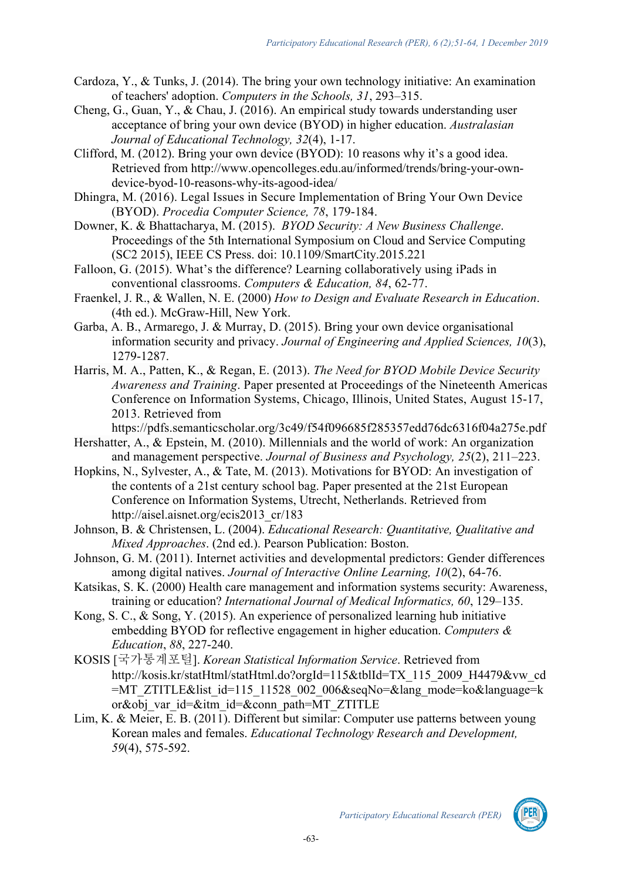- Cardoza, Y., & Tunks, J. (2014). The bring your own technology initiative: An examination of teachers' adoption. *Computers in the Schools, 31*, 293–315.
- Cheng, G., Guan, Y., & Chau, J. (2016). An empirical study towards understanding user acceptance of bring your own device (BYOD) in higher education. *Australasian Journal of Educational Technology, 32*(4), 1-17.
- Clifford, M. (2012). Bring your own device (BYOD): 10 reasons why it's a good idea. Retrieved from http://www.opencolleges.edu.au/informed/trends/bring-your-owndevice-byod-10-reasons-why-its-agood-idea/
- Dhingra, M. (2016). Legal Issues in Secure Implementation of Bring Your Own Device (BYOD). *Procedia Computer Science, 78*, 179-184.
- Downer, K. & Bhattacharya, M. (2015). *BYOD Security: A New Business Challenge*. Proceedings of the 5th International Symposium on Cloud and Service Computing (SC2 2015), IEEE CS Press. doi: 10.1109/SmartCity.2015.221
- Falloon, G. (2015). What's the difference? Learning collaboratively using iPads in conventional classrooms. *Computers & Education, 84*, 62-77.
- Fraenkel, J. R., & Wallen, N. E. (2000) *How to Design and Evaluate Research in Education*. (4th ed.). McGraw-Hill, New York.
- Garba, A. B., Armarego, J. & Murray, D. (2015). Bring your own device organisational information security and privacy. *Journal of Engineering and Applied Sciences, 10*(3), 1279-1287.
- Harris, M. A., Patten, K., & Regan, E. (2013). *The Need for BYOD Mobile Device Security Awareness and Training*. Paper presented at Proceedings of the Nineteenth Americas Conference on Information Systems, Chicago, Illinois, United States, August 15-17, 2013. Retrieved from

https://pdfs.semanticscholar.org/3c49/f54f096685f285357edd76dc6316f04a275e.pdf

- Hershatter, A., & Epstein, M. (2010). Millennials and the world of work: An organization and management perspective. *Journal of Business and Psychology, 25*(2), 211–223.
- Hopkins, N., Sylvester, A., & Tate, M. (2013). Motivations for BYOD: An investigation of the contents of a 21st century school bag. Paper presented at the 21st European Conference on Information Systems, Utrecht, Netherlands. Retrieved from http://aisel.aisnet.org/ecis2013\_cr/183
- Johnson, B. & Christensen, L. (2004). *Educational Research: Quantitative, Qualitative and Mixed Approaches*. (2nd ed.). Pearson Publication: Boston.
- Johnson, G. M. (2011). Internet activities and developmental predictors: Gender differences among digital natives. *Journal of Interactive Online Learning, 10*(2), 64-76.
- Katsikas, S. K. (2000) Health care management and information systems security: Awareness, training or education? *International Journal of Medical Informatics, 60*, 129–135.
- Kong, S. C., & Song, Y. (2015). An experience of personalized learning hub initiative embedding BYOD for reflective engagement in higher education. *Computers & Education*, *88*, 227-240.
- KOSIS [국가통계포털]. *Korean Statistical Information Service*. Retrieved from http://kosis.kr/statHtml/statHtml.do?orgId=115&tblId=TX\_115\_2009\_H4479&vw\_cd =MT\_ZTITLE&list\_id=115\_11528\_002\_006&seqNo=&lang\_mode=ko&language=k  $or\&$ <sub>obj</sub> var id= $&$ itm id= $&$ conn path=MT ZTITLE
- Lim, K. & Meier, E. B. (2011). Different but similar: Computer use patterns between young Korean males and females. *Educational Technology Research and Development, 59*(4), 575-592.